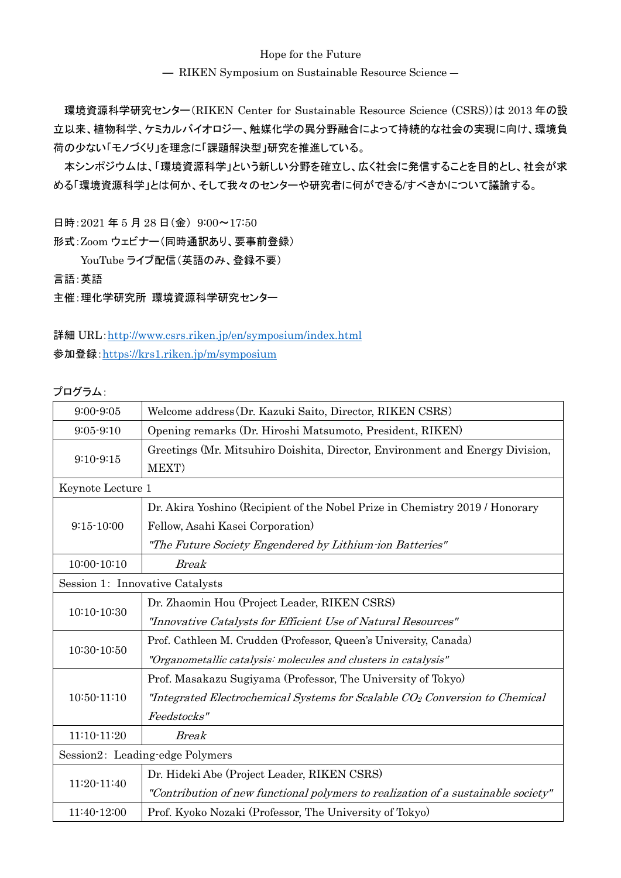## Hope for the Future

― RIKEN Symposium on Sustainable Resource Science ―

環境資源科学研究センター(RIKEN Center for Sustainable Resource Science (CSRS))は 2013 年の設 立以来、植物科学、ケミカルバイオロジー、触媒化学の異分野融合によって持続的な社会の実現に向け、環境負 荷の少ない「モノづくり」を理念に「課題解決型」研究を推進している。

本シンポジウムは、「環境資源科学」という新しい分野を確立し、広く社会に発信することを目的とし、社会が求 める「環境資源科学」とは何か、そして我々のセンターや研究者に何ができる/すべきかについて議論する。

日時:2021 年 5 月 28 日(金) 9:00〜17:50

形式:Zoom ウェビナー(同時通訳あり、要事前登録)

YouTube ライブ配信(英語のみ、登録不要)

言語:英語

主催:理化学研究所 環境資源科学研究センター

詳細 URL:<http://www.csrs.riken.jp/en/symposium/index.html> 参加登録:<https://krs1.riken.jp/m/symposium>

プログラム:

| $9:00 - 9:05$                   | Welcome address (Dr. Kazuki Saito, Director, RIKEN CSRS)                                |  |
|---------------------------------|-----------------------------------------------------------------------------------------|--|
| $9:05 - 9:10$                   | Opening remarks (Dr. Hiroshi Matsumoto, President, RIKEN)                               |  |
| $9:10-9:15$                     | Greetings (Mr. Mitsuhiro Doishita, Director, Environment and Energy Division,<br>MEXT)  |  |
| Keynote Lecture 1               |                                                                                         |  |
| $9:15 - 10:00$                  | Dr. Akira Yoshino (Recipient of the Nobel Prize in Chemistry 2019 / Honorary            |  |
|                                 | Fellow, Asahi Kasei Corporation)                                                        |  |
|                                 | "The Future Society Engendered by Lithium ion Batteries"                                |  |
| $10:00 - 10:10$                 | <b>Break</b>                                                                            |  |
| Session 1: Innovative Catalysts |                                                                                         |  |
|                                 | Dr. Zhaomin Hou (Project Leader, RIKEN CSRS)                                            |  |
| $10:10-10:30$                   | "Innovative Catalysts for Efficient Use of Natural Resources"                           |  |
| $10:30 - 10:50$                 | Prof. Cathleen M. Crudden (Professor, Queen's University, Canada)                       |  |
|                                 | "Organometallic catalysis: molecules and clusters in catalysis"                         |  |
| $10:50 - 11:10$                 | Prof. Masakazu Sugiyama (Professor, The University of Tokyo)                            |  |
|                                 | "Integrated Electrochemical Systems for Scalable CO <sub>2</sub> Conversion to Chemical |  |
|                                 | Feedstocks"                                                                             |  |
| $11:10-11:20$                   | <b>Break</b>                                                                            |  |
| Session2: Leading-edge Polymers |                                                                                         |  |
| 11:20-11:40                     | Dr. Hideki Abe (Project Leader, RIKEN CSRS)                                             |  |
|                                 | "Contribution of new functional polymers to realization of a sustainable society"       |  |
| 11:40-12:00                     | Prof. Kyoko Nozaki (Professor, The University of Tokyo)                                 |  |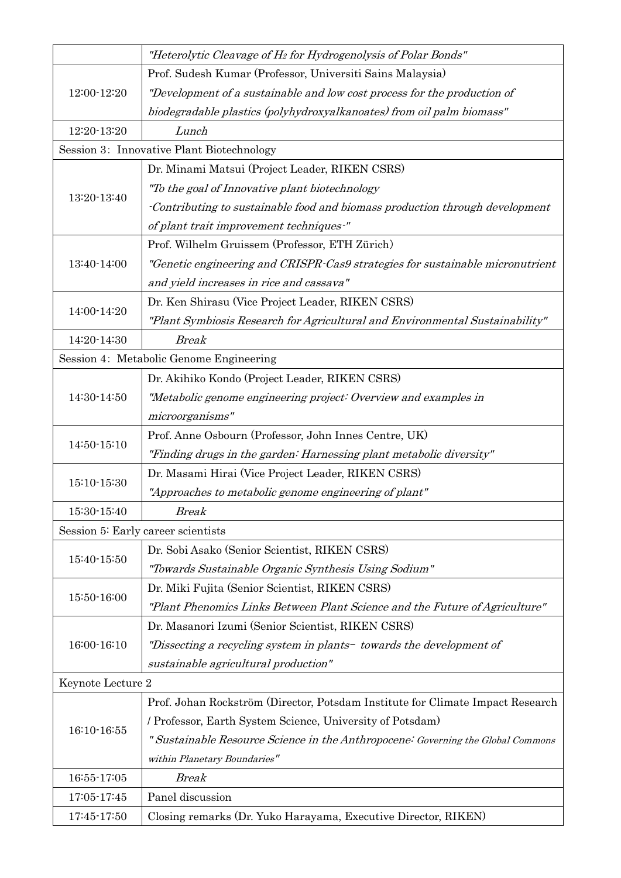|                   | "Heterolytic Cleavage of H <sub>2</sub> for Hydrogenolysis of Polar Bonds"       |
|-------------------|----------------------------------------------------------------------------------|
| 12:00-12:20       | Prof. Sudesh Kumar (Professor, Universiti Sains Malaysia)                        |
|                   | "Development of a sustainable and low cost process for the production of         |
|                   | biodegradable plastics (polyhydroxyalkanoates) from oil palm biomass"            |
| 12:20-13:20       | Lunch                                                                            |
|                   | Session 3: Innovative Plant Biotechnology                                        |
|                   | Dr. Minami Matsui (Project Leader, RIKEN CSRS)                                   |
|                   | "To the goal of Innovative plant biotechnology                                   |
| 13:20-13:40       | Contributing to sustainable food and biomass production through development      |
|                   | of plant trait improvement techniques-"                                          |
|                   | Prof. Wilhelm Gruissem (Professor, ETH Zürich)                                   |
| 13:40-14:00       | "Genetic engineering and CRISPR-Cas9 strategies for sustainable micronutrient    |
|                   | and yield increases in rice and cassava"                                         |
|                   | Dr. Ken Shirasu (Vice Project Leader, RIKEN CSRS)                                |
| 14:00-14:20       | "Plant Symbiosis Research for Agricultural and Environmental Sustainability"     |
| 14:20-14:30       | <b>Break</b>                                                                     |
|                   | Session 4: Metabolic Genome Engineering                                          |
|                   | Dr. Akihiko Kondo (Project Leader, RIKEN CSRS)                                   |
| 14:30-14:50       | "Metabolic genome engineering project: Overview and examples in                  |
|                   | microorganisms"                                                                  |
| 14:50-15:10       | Prof. Anne Osbourn (Professor, John Innes Centre, UK)                            |
|                   | "Finding drugs in the garden: Harnessing plant metabolic diversity"              |
| $15:10 - 15:30$   | Dr. Masami Hirai (Vice Project Leader, RIKEN CSRS)                               |
|                   | "Approaches to metabolic genome engineering of plant"                            |
| $15:30-15:40$     | Break                                                                            |
|                   | Session 5: Early career scientists                                               |
| 15:40-15:50       | Dr. Sobi Asako (Senior Scientist, RIKEN CSRS)                                    |
|                   | "Towards Sustainable Organic Synthesis Using Sodium"                             |
| 15:50-16:00       | Dr. Miki Fujita (Senior Scientist, RIKEN CSRS)                                   |
|                   | "Plant Phenomics Links Between Plant Science and the Future of Agriculture"      |
|                   | Dr. Masanori Izumi (Senior Scientist, RIKEN CSRS)                                |
| 16:00-16:10       | "Dissecting a recycling system in plants- towards the development of             |
|                   | sustainable agricultural production"                                             |
| Keynote Lecture 2 |                                                                                  |
| $16:10 - 16:55$   | Prof. Johan Rockström (Director, Potsdam Institute for Climate Impact Research   |
|                   | / Professor, Earth System Science, University of Potsdam)                        |
|                   | " Sustainable Resource Science in the Anthropocene: Governing the Global Commons |
|                   | within Planetary Boundaries"                                                     |
| 16:55-17:05       | <b>Break</b>                                                                     |
| 17:05-17:45       | Panel discussion                                                                 |
| 17:45-17:50       | Closing remarks (Dr. Yuko Harayama, Executive Director, RIKEN)                   |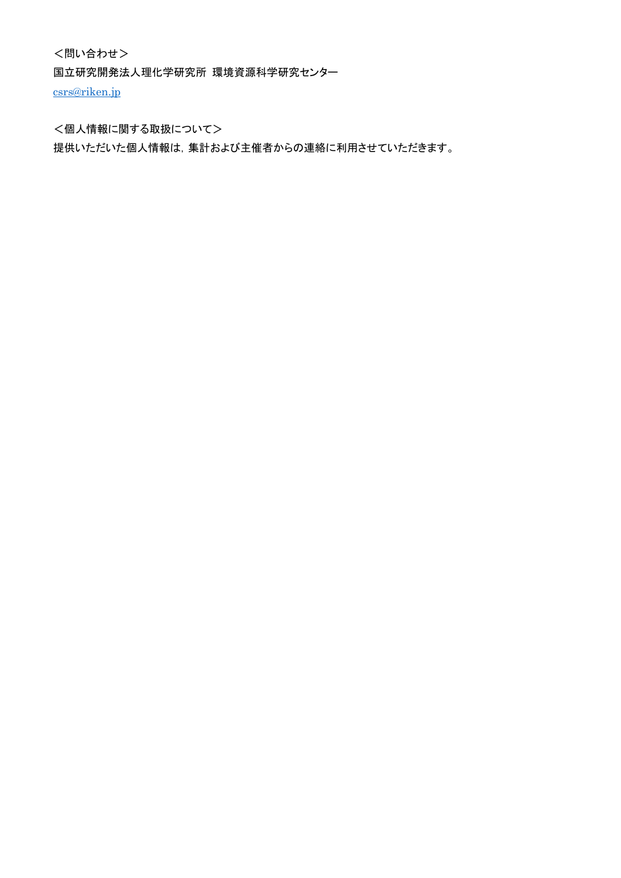<問い合わせ> 国立研究開発法人理化学研究所 環境資源科学研究センター [csrs@riken.jp](mailto:csrs@riken.jp)

<個人情報に関する取扱について>

提供いただいた個人情報は,集計および主催者からの連絡に利用させていただきます。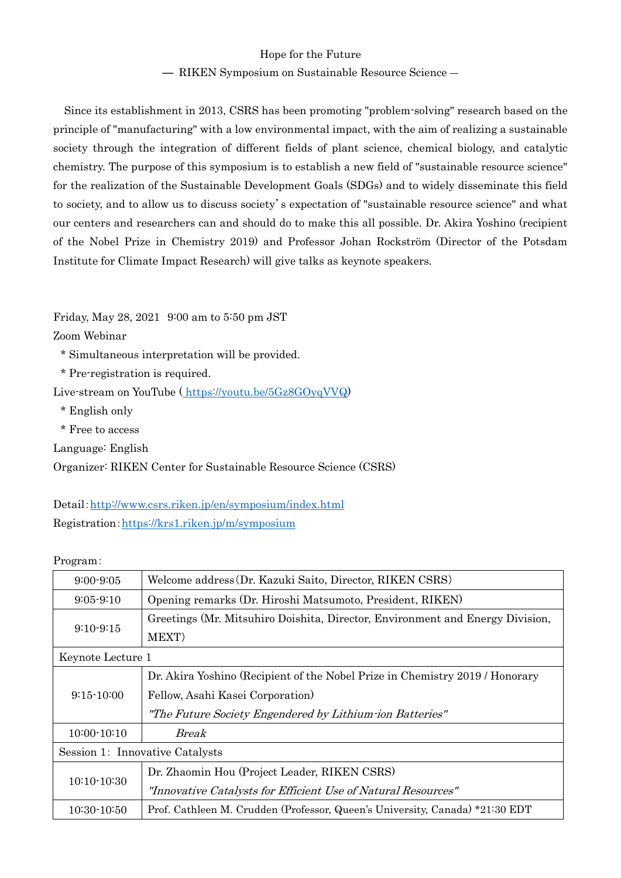## Hope for the Future

## ― RIKEN Symposium on Sustainable Resource Science ―

Since its establishment in 2013, CSRS has been promoting "problem-solving" research based on the principle of "manufacturing" with a low environmental impact, with the aim of realizing a sustainable society through the integration of different fields of plant science, chemical biology, and catalytic chemistry. The purpose of this symposium is to establish a new field of "sustainable resource science" for the realization of the Sustainable Development Goals (SDGs) and to widely disseminate this field to society, and to allow us to discuss society's expectation of "sustainable resource science" and what our centers and researchers can and should do to make this all possible. Dr. Akira Yoshino (recipient of the Nobel Prize in Chemistry 2019) and Professor Johan Rockström (Director of the Potsdam Institute for Climate Impact Research) will give talks as keynote speakers.

Friday, May 28, 2021 9:00 am to 5:50 pm JST

Zoom Webinar

\* Simultaneous interpretation will be provided.

\* Pre-registration is required.

Live-stream on YouTube ( [https://youtu.be/5Gz8GOyqVVQ\)](https://youtu.be/5Gz8GOyqVVQ)

\* English only

\* Free to access

Language: English

Organizer: RIKEN Center for Sustainable Resource Science (CSRS)

Detail:<http://www.csrs.riken.jp/en/symposium/index.html> Registration:<https://krs1.riken.jp/m/symposium>

Program:

| $9:00 - 9:05$                   | Welcome address (Dr. Kazuki Saito, Director, RIKEN CSRS)                      |  |
|---------------------------------|-------------------------------------------------------------------------------|--|
| $9:05 - 9:10$                   | Opening remarks (Dr. Hiroshi Matsumoto, President, RIKEN)                     |  |
| $9:10-9:15$                     | Greetings (Mr. Mitsuhiro Doishita, Director, Environment and Energy Division, |  |
|                                 | MEXT)                                                                         |  |
| Keynote Lecture 1               |                                                                               |  |
| $9:15 - 10:00$                  | Dr. Akira Yoshino (Recipient of the Nobel Prize in Chemistry 2019 / Honorary  |  |
|                                 | Fellow, Asahi Kasei Corporation)                                              |  |
|                                 | "The Future Society Engendered by Lithium ion Batteries"                      |  |
| $10:00 - 10:10$                 | Break                                                                         |  |
| Session 1: Innovative Catalysts |                                                                               |  |
| $10:10-10:30$                   | Dr. Zhaomin Hou (Project Leader, RIKEN CSRS)                                  |  |
|                                 | "Innovative Catalysts for Efficient Use of Natural Resources"                 |  |
| 10:30-10:50                     | Prof. Cathleen M. Crudden (Professor, Queen's University, Canada) *21:30 EDT  |  |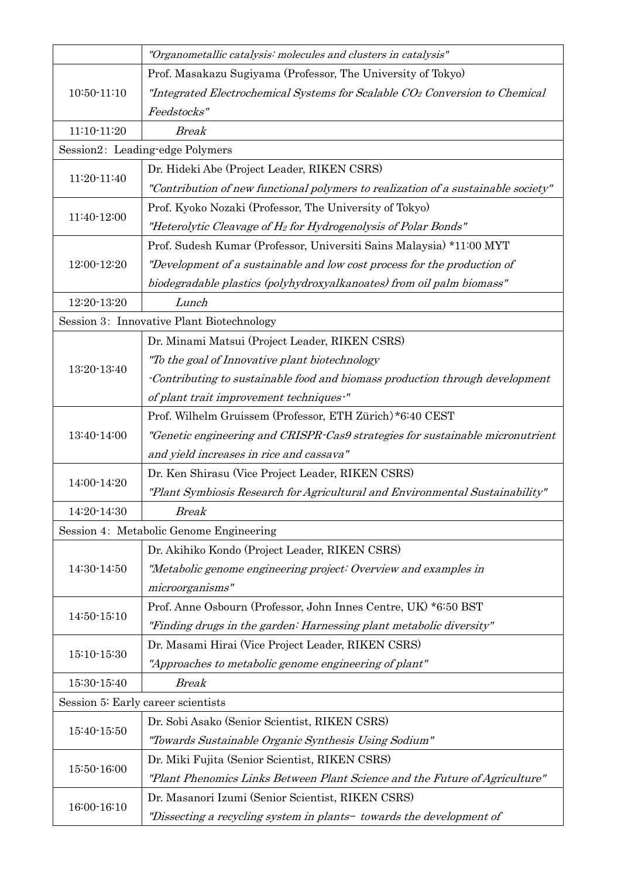|                 | "Organometallic catalysis: molecules and clusters in catalysis"                   |
|-----------------|-----------------------------------------------------------------------------------|
| $10:50 - 11:10$ | Prof. Masakazu Sugiyama (Professor, The University of Tokyo)                      |
|                 | "Integrated Electrochemical Systems for Scalable CO2 Conversion to Chemical       |
|                 | Feedstocks"                                                                       |
| $11:10-11:20$   | <b>Break</b>                                                                      |
|                 | Session2: Leading-edge Polymers                                                   |
|                 | Dr. Hideki Abe (Project Leader, RIKEN CSRS)                                       |
| 11:20-11:40     | "Contribution of new functional polymers to realization of a sustainable society" |
|                 | Prof. Kyoko Nozaki (Professor, The University of Tokyo)                           |
| 11:40-12:00     | "Heterolytic Cleavage of H <sub>2</sub> for Hydrogenolysis of Polar Bonds"        |
|                 | Prof. Sudesh Kumar (Professor, Universiti Sains Malaysia) *11:00 MYT              |
| 12:00-12:20     | "Development of a sustainable and low cost process for the production of          |
|                 | biodegradable plastics (polyhydroxyalkanoates) from oil palm biomass"             |
| 12:20-13:20     | Lunch                                                                             |
|                 | Session 3: Innovative Plant Biotechnology                                         |
|                 | Dr. Minami Matsui (Project Leader, RIKEN CSRS)                                    |
| 13:20-13:40     | "To the goal of Innovative plant biotechnology                                    |
|                 | -Contributing to sustainable food and biomass production through development      |
|                 | of plant trait improvement techniques-"                                           |
|                 | Prof. Wilhelm Gruissem (Professor, ETH Zürich)*6:40 CEST                          |
| 13:40-14:00     | "Genetic engineering and CRISPR-Cas9 strategies for sustainable micronutrient     |
|                 | and yield increases in rice and cassava"                                          |
| 14:00-14:20     | Dr. Ken Shirasu (Vice Project Leader, RIKEN CSRS)                                 |
|                 | "Plant Symbiosis Research for Agricultural and Environmental Sustainability"      |
| 14:20-14:30     | Break                                                                             |
|                 | Session 4: Metabolic Genome Engineering                                           |
|                 | Dr. Akihiko Kondo (Project Leader, RIKEN CSRS)                                    |
| 14:30-14:50     | "Metabolic genome engineering project: Overview and examples in                   |
|                 | microorganisms"                                                                   |
| 14:50-15:10     | Prof. Anne Osbourn (Professor, John Innes Centre, UK) *6:50 BST                   |
|                 | "Finding drugs in the garden: Harnessing plant metabolic diversity"               |
|                 | Dr. Masami Hirai (Vice Project Leader, RIKEN CSRS)                                |
| 15:10-15:30     | "Approaches to metabolic genome engineering of plant"                             |
| 15:30-15:40     | <b>Break</b>                                                                      |
|                 | Session 5: Early career scientists                                                |
| 15:40-15:50     | Dr. Sobi Asako (Senior Scientist, RIKEN CSRS)                                     |
|                 | "Towards Sustainable Organic Synthesis Using Sodium"                              |
| 15:50-16:00     | Dr. Miki Fujita (Senior Scientist, RIKEN CSRS)                                    |
|                 | "Plant Phenomics Links Between Plant Science and the Future of Agriculture"       |
| 16:00-16:10     | Dr. Masanori Izumi (Senior Scientist, RIKEN CSRS)                                 |
|                 | "Dissecting a recycling system in plants- towards the development of              |